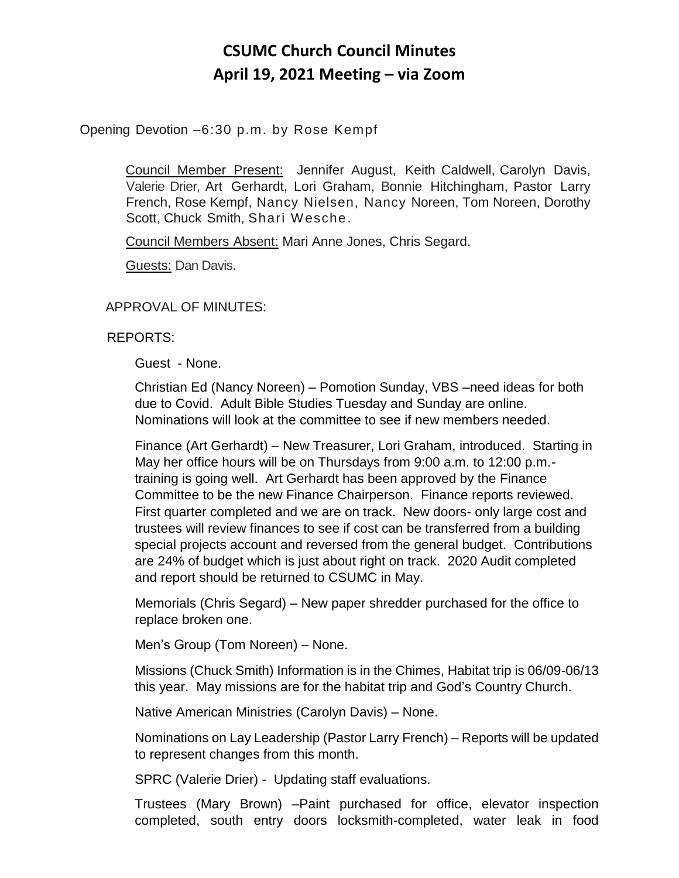# **CSUMC Church Council Minutes April 19, 2021 Meeting – via Zoom**

## Opening Devotion –6:30 p.m. by Rose Kempf

Council Member Present: Jennifer August, Keith Caldwell, Carolyn Davis, Valerie Drier, Art Gerhardt, Lori Graham, Bonnie Hitchingham, Pastor Larry French, Rose Kempf, Nancy Nielsen, Nancy Noreen, Tom Noreen, Dorothy Scott, Chuck Smith, Shari Wesche.

Council Members Absent: Mari Anne Jones, Chris Segard.

Guests: Dan Davis.

### APPROVAL OF MINUTES:

### REPORTS:

Guest - None.

Christian Ed (Nancy Noreen) – Pomotion Sunday, VBS –need ideas for both due to Covid. Adult Bible Studies Tuesday and Sunday are online. Nominations will look at the committee to see if new members needed.

Finance (Art Gerhardt) – New Treasurer, Lori Graham, introduced. Starting in May her office hours will be on Thursdays from 9:00 a.m. to 12:00 p.m. training is going well. Art Gerhardt has been approved by the Finance Committee to be the new Finance Chairperson. Finance reports reviewed. First quarter completed and we are on track. New doors- only large cost and trustees will review finances to see if cost can be transferred from a building special projects account and reversed from the general budget. Contributions are 24% of budget which is just about right on track. 2020 Audit completed and report should be returned to CSUMC in May.

Memorials (Chris Segard) – New paper shredder purchased for the office to replace broken one.

Men's Group (Tom Noreen) – None.

Missions (Chuck Smith) Information is in the Chimes, Habitat trip is 06/09-06/13 this year. May missions are for the habitat trip and God's Country Church.

Native American Ministries (Carolyn Davis) – None.

Nominations on Lay Leadership (Pastor Larry French) – Reports will be updated to represent changes from this month.

SPRC (Valerie Drier) - Updating staff evaluations.

Trustees (Mary Brown) –Paint purchased for office, elevator inspection completed, south entry doors locksmith-completed, water leak in food